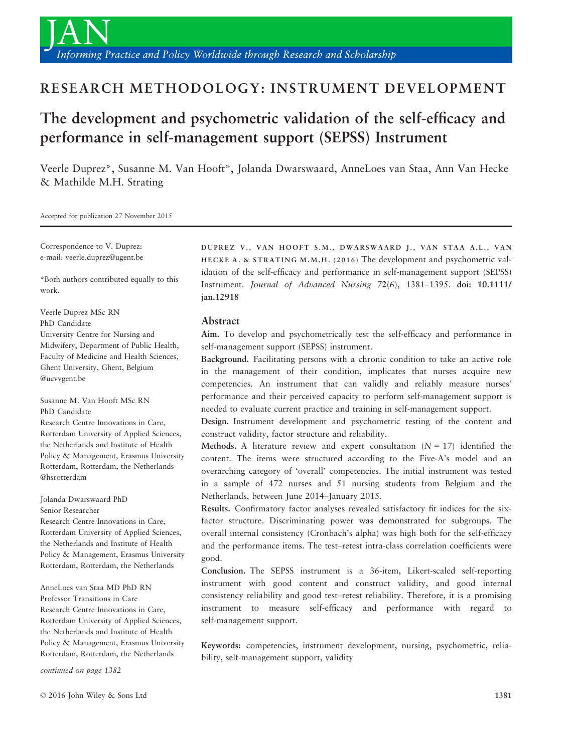## RESEARCH METHODOLOGY: INSTRUMENT DEVELOPMENT

# The development and psychometric validation of the self-efficacy and performance in self-management support (SEPSS) Instrument

Veerle Duprez\*, Susanne M. Van Hooft\*, Jolanda Dwarswaard, AnneLoes van Staa, Ann Van Hecke & Mathilde M.H. Strating

Accepted for publication 27 November 2015

Correspondence to V. Duprez: e-mail: veerle.duprez@ugent.be

\*Both authors contributed equally to this work.

Veerle Duprez MSc RN PhD Candidate University Centre for Nursing and Midwifery, Department of Public Health, Faculty of Medicine and Health Sciences, Ghent University, Ghent, Belgium @ucvvgent.be

Susanne M. Van Hooft MSc RN PhD Candidate Research Centre Innovations in Care, Rotterdam University of Applied Sciences, the Netherlands and Institute of Health Policy & Management, Erasmus University Rotterdam, Rotterdam, the Netherlands @hsrotterdam

Jolanda Dwarswaard PhD Senior Researcher Research Centre Innovations in Care, Rotterdam University of Applied Sciences, the Netherlands and Institute of Health Policy & Management, Erasmus University Rotterdam, Rotterdam, the Netherlands

AnneLoes van Staa MD PhD RN Professor Transitions in Care Research Centre Innovations in Care, Rotterdam University of Applied Sciences, the Netherlands and Institute of Health Policy & Management, Erasmus University Rotterdam, Rotterdam, the Netherlands

continued on page 1382

DUPREZ V., VAN HOOFT S.M., DWARSWAARD J., VAN STAA A.L., VAN HECKE A. & STRATING M.M.H. (2016) The development and psychometric validation of the self-efficacy and performance in self-management support (SEPSS) Instrument. Journal of Advanced Nursing 72(6), 1381–1395. doi: 10.1111/ jan.12918

## Abstract

Aim. To develop and psychometrically test the self-efficacy and performance in self-management support (SEPSS) instrument.

Background. Facilitating persons with a chronic condition to take an active role in the management of their condition, implicates that nurses acquire new competencies. An instrument that can validly and reliably measure nurses' performance and their perceived capacity to perform self-management support is needed to evaluate current practice and training in self-management support.

Design. Instrument development and psychometric testing of the content and construct validity, factor structure and reliability.

Methods. A literature review and expert consultation  $(N = 17)$  identified the content. The items were structured according to the Five-A's model and an overarching category of 'overall' competencies. The initial instrument was tested in a sample of 472 nurses and 51 nursing students from Belgium and the Netherlands, between June 2014–January 2015.

Results. Confirmatory factor analyses revealed satisfactory fit indices for the sixfactor structure. Discriminating power was demonstrated for subgroups. The overall internal consistency (Cronbach's alpha) was high both for the self-efficacy and the performance items. The test–retest intra-class correlation coefficients were good.

Conclusion. The SEPSS instrument is a 36-item, Likert-scaled self-reporting instrument with good content and construct validity, and good internal consistency reliability and good test–retest reliability. Therefore, it is a promising instrument to measure self-efficacy and performance with regard to self-management support.

Keywords: competencies, instrument development, nursing, psychometric, reliability, self-management support, validity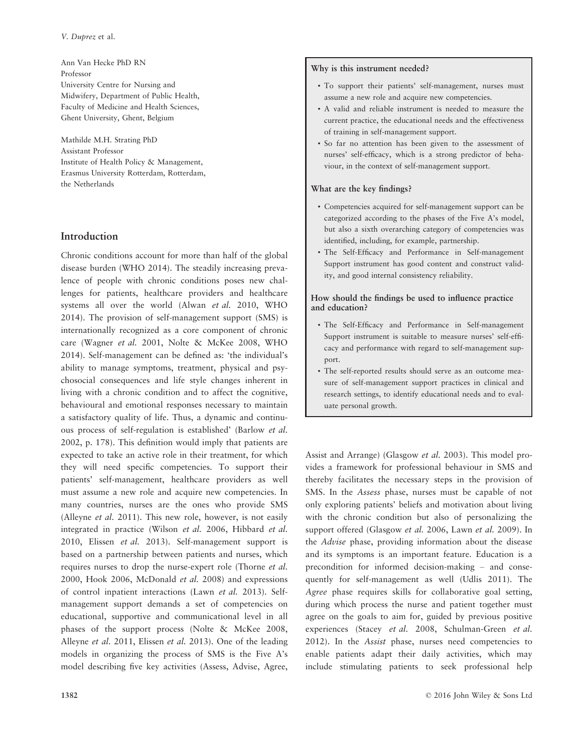Ann Van Hecke PhD RN Professor University Centre for Nursing and Midwifery, Department of Public Health, Faculty of Medicine and Health Sciences, Ghent University, Ghent, Belgium

Mathilde M.H. Strating PhD Assistant Professor Institute of Health Policy & Management, Erasmus University Rotterdam, Rotterdam, the Netherlands

## Introduction

Chronic conditions account for more than half of the global disease burden (WHO 2014). The steadily increasing prevalence of people with chronic conditions poses new challenges for patients, healthcare providers and healthcare systems all over the world (Alwan et al. 2010, WHO 2014). The provision of self-management support (SMS) is internationally recognized as a core component of chronic care (Wagner et al. 2001, Nolte & McKee 2008, WHO 2014). Self-management can be defined as: 'the individual's ability to manage symptoms, treatment, physical and psychosocial consequences and life style changes inherent in living with a chronic condition and to affect the cognitive, behavioural and emotional responses necessary to maintain a satisfactory quality of life. Thus, a dynamic and continuous process of self-regulation is established' (Barlow et al. 2002, p. 178). This definition would imply that patients are expected to take an active role in their treatment, for which they will need specific competencies. To support their patients' self-management, healthcare providers as well must assume a new role and acquire new competencies. In many countries, nurses are the ones who provide SMS (Alleyne et al. 2011). This new role, however, is not easily integrated in practice (Wilson et al. 2006, Hibbard et al. 2010, Elissen et al. 2013). Self-management support is based on a partnership between patients and nurses, which requires nurses to drop the nurse-expert role (Thorne et al. 2000, Hook 2006, McDonald et al. 2008) and expressions of control inpatient interactions (Lawn et al. 2013). Selfmanagement support demands a set of competencies on educational, supportive and communicational level in all phases of the support process (Nolte & McKee 2008, Alleyne et al. 2011, Elissen et al. 2013). One of the leading models in organizing the process of SMS is the Five A's model describing five key activities (Assess, Advise, Agree,

## Why is this instrument needed?

- To support their patients' self-management, nurses must assume a new role and acquire new competencies.
- A valid and reliable instrument is needed to measure the current practice, the educational needs and the effectiveness of training in self-management support.
- So far no attention has been given to the assessment of nurses' self-efficacy, which is a strong predictor of behaviour, in the context of self-management support.

## What are the key findings?

- Competencies acquired for self-management support can be categorized according to the phases of the Five A's model, but also a sixth overarching category of competencies was identified, including, for example, partnership.
- The Self-Efficacy and Performance in Self-management Support instrument has good content and construct validity, and good internal consistency reliability.

## How should the findings be used to influence practice and education?

- The Self-Efficacy and Performance in Self-management Support instrument is suitable to measure nurses' self-efficacy and performance with regard to self-management support.
- The self-reported results should serve as an outcome measure of self-management support practices in clinical and research settings, to identify educational needs and to evaluate personal growth.

Assist and Arrange) (Glasgow et al. 2003). This model provides a framework for professional behaviour in SMS and thereby facilitates the necessary steps in the provision of SMS. In the Assess phase, nurses must be capable of not only exploring patients' beliefs and motivation about living with the chronic condition but also of personalizing the support offered (Glasgow et al. 2006, Lawn et al. 2009). In the Advise phase, providing information about the disease and its symptoms is an important feature. Education is a precondition for informed decision-making – and consequently for self-management as well (Udlis 2011). The Agree phase requires skills for collaborative goal setting, during which process the nurse and patient together must agree on the goals to aim for, guided by previous positive experiences (Stacey et al. 2008, Schulman-Green et al. 2012). In the Assist phase, nurses need competencies to enable patients adapt their daily activities, which may include stimulating patients to seek professional help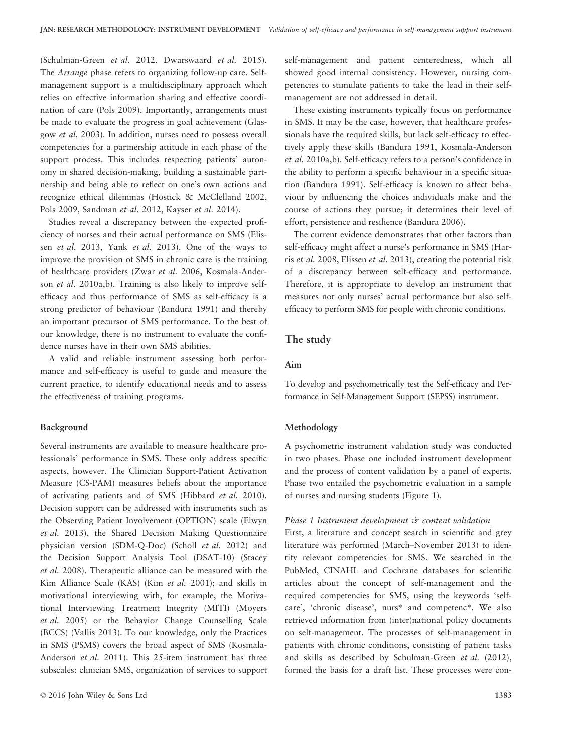(Schulman-Green et al. 2012, Dwarswaard et al. 2015). The Arrange phase refers to organizing follow-up care. Selfmanagement support is a multidisciplinary approach which relies on effective information sharing and effective coordination of care (Pols 2009). Importantly, arrangements must be made to evaluate the progress in goal achievement (Glasgow et al. 2003). In addition, nurses need to possess overall competencies for a partnership attitude in each phase of the support process. This includes respecting patients' autonomy in shared decision-making, building a sustainable partnership and being able to reflect on one's own actions and recognize ethical dilemmas (Hostick & McClelland 2002, Pols 2009, Sandman et al. 2012, Kayser et al. 2014).

Studies reveal a discrepancy between the expected proficiency of nurses and their actual performance on SMS (Elissen et al. 2013, Yank et al. 2013). One of the ways to improve the provision of SMS in chronic care is the training of healthcare providers (Zwar et al. 2006, Kosmala-Anderson et al. 2010a,b). Training is also likely to improve selfefficacy and thus performance of SMS as self-efficacy is a strong predictor of behaviour (Bandura 1991) and thereby an important precursor of SMS performance. To the best of our knowledge, there is no instrument to evaluate the confidence nurses have in their own SMS abilities.

A valid and reliable instrument assessing both performance and self-efficacy is useful to guide and measure the current practice, to identify educational needs and to assess the effectiveness of training programs.

#### Background

Several instruments are available to measure healthcare professionals' performance in SMS. These only address specific aspects, however. The Clinician Support-Patient Activation Measure (CS-PAM) measures beliefs about the importance of activating patients and of SMS (Hibbard et al. 2010). Decision support can be addressed with instruments such as the Observing Patient Involvement (OPTION) scale (Elwyn et al. 2013), the Shared Decision Making Questionnaire physician version (SDM-Q-Doc) (Scholl et al. 2012) and the Decision Support Analysis Tool (DSAT-10) (Stacey et al. 2008). Therapeutic alliance can be measured with the Kim Alliance Scale (KAS) (Kim et al. 2001); and skills in motivational interviewing with, for example, the Motivational Interviewing Treatment Integrity (MITI) (Moyers et al. 2005) or the Behavior Change Counselling Scale (BCCS) (Vallis 2013). To our knowledge, only the Practices in SMS (PSMS) covers the broad aspect of SMS (Kosmala-Anderson et al. 2011). This 25-item instrument has three subscales: clinician SMS, organization of services to support self-management and patient centeredness, which all showed good internal consistency. However, nursing competencies to stimulate patients to take the lead in their selfmanagement are not addressed in detail.

These existing instruments typically focus on performance in SMS. It may be the case, however, that healthcare professionals have the required skills, but lack self-efficacy to effectively apply these skills (Bandura 1991, Kosmala-Anderson et al. 2010a,b). Self-efficacy refers to a person's confidence in the ability to perform a specific behaviour in a specific situation (Bandura 1991). Self-efficacy is known to affect behaviour by influencing the choices individuals make and the course of actions they pursue; it determines their level of effort, persistence and resilience (Bandura 2006).

The current evidence demonstrates that other factors than self-efficacy might affect a nurse's performance in SMS (Harris et al. 2008, Elissen et al. 2013), creating the potential risk of a discrepancy between self-efficacy and performance. Therefore, it is appropriate to develop an instrument that measures not only nurses' actual performance but also selfefficacy to perform SMS for people with chronic conditions.

## The study

## Aim

To develop and psychometrically test the Self-efficacy and Performance in Self-Management Support (SEPSS) instrument.

#### Methodology

A psychometric instrument validation study was conducted in two phases. Phase one included instrument development and the process of content validation by a panel of experts. Phase two entailed the psychometric evaluation in a sample of nurses and nursing students (Figure 1).

#### Phase 1 Instrument development & content validation

First, a literature and concept search in scientific and grey literature was performed (March–November 2013) to identify relevant competencies for SMS. We searched in the PubMed, CINAHL and Cochrane databases for scientific articles about the concept of self-management and the required competencies for SMS, using the keywords 'selfcare', 'chronic disease', nurs\* and competenc\*. We also retrieved information from (inter)national policy documents on self-management. The processes of self-management in patients with chronic conditions, consisting of patient tasks and skills as described by Schulman-Green et al. (2012), formed the basis for a draft list. These processes were con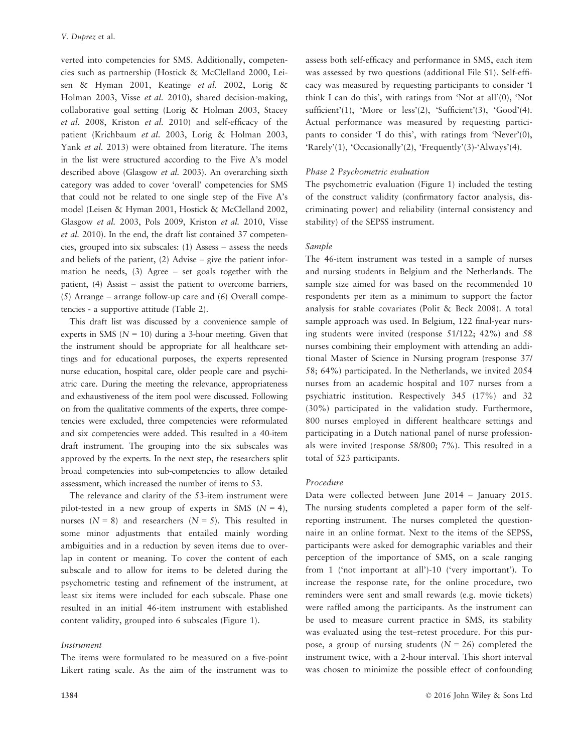verted into competencies for SMS. Additionally, competencies such as partnership (Hostick & McClelland 2000, Leisen & Hyman 2001, Keatinge et al. 2002, Lorig & Holman 2003, Visse et al. 2010), shared decision-making, collaborative goal setting (Lorig & Holman 2003, Stacey et al. 2008, Kriston et al. 2010) and self-efficacy of the patient (Krichbaum et al. 2003, Lorig & Holman 2003, Yank et al. 2013) were obtained from literature. The items in the list were structured according to the Five A's model described above (Glasgow et al. 2003). An overarching sixth category was added to cover 'overall' competencies for SMS that could not be related to one single step of the Five A's model (Leisen & Hyman 2001, Hostick & McClelland 2002, Glasgow et al. 2003, Pols 2009, Kriston et al. 2010, Visse et al. 2010). In the end, the draft list contained 37 competencies, grouped into six subscales: (1) Assess – assess the needs and beliefs of the patient, (2) Advise – give the patient information he needs, (3) Agree – set goals together with the patient, (4) Assist – assist the patient to overcome barriers, (5) Arrange – arrange follow-up care and (6) Overall competencies - a supportive attitude (Table 2).

This draft list was discussed by a convenience sample of experts in SMS ( $N = 10$ ) during a 3-hour meeting. Given that the instrument should be appropriate for all healthcare settings and for educational purposes, the experts represented nurse education, hospital care, older people care and psychiatric care. During the meeting the relevance, appropriateness and exhaustiveness of the item pool were discussed. Following on from the qualitative comments of the experts, three competencies were excluded, three competencies were reformulated and six competencies were added. This resulted in a 40-item draft instrument. The grouping into the six subscales was approved by the experts. In the next step, the researchers split broad competencies into sub-competencies to allow detailed assessment, which increased the number of items to 53.

The relevance and clarity of the 53-item instrument were pilot-tested in a new group of experts in SMS  $(N = 4)$ , nurses  $(N = 8)$  and researchers  $(N = 5)$ . This resulted in some minor adjustments that entailed mainly wording ambiguities and in a reduction by seven items due to overlap in content or meaning. To cover the content of each subscale and to allow for items to be deleted during the psychometric testing and refinement of the instrument, at least six items were included for each subscale. Phase one resulted in an initial 46-item instrument with established content validity, grouped into 6 subscales (Figure 1).

#### Instrument

The items were formulated to be measured on a five-point Likert rating scale. As the aim of the instrument was to assess both self-efficacy and performance in SMS, each item was assessed by two questions (additional File S1). Self-efficacy was measured by requesting participants to consider 'I think I can do this', with ratings from 'Not at all'(0), 'Not sufficient'(1), 'More or less'(2), 'Sufficient'(3), 'Good'(4). Actual performance was measured by requesting participants to consider 'I do this', with ratings from 'Never'(0), 'Rarely'(1), 'Occasionally'(2), 'Frequently'(3)-'Always'(4).

#### Phase 2 Psychometric evaluation

The psychometric evaluation (Figure 1) included the testing of the construct validity (confirmatory factor analysis, discriminating power) and reliability (internal consistency and stability) of the SEPSS instrument.

#### Sample

The 46-item instrument was tested in a sample of nurses and nursing students in Belgium and the Netherlands. The sample size aimed for was based on the recommended 10 respondents per item as a minimum to support the factor analysis for stable covariates (Polit & Beck 2008). A total sample approach was used. In Belgium, 122 final-year nursing students were invited (response 51/122; 42%) and 58 nurses combining their employment with attending an additional Master of Science in Nursing program (response 37/ 58; 64%) participated. In the Netherlands, we invited 2054 nurses from an academic hospital and 107 nurses from a psychiatric institution. Respectively 345 (17%) and 32 (30%) participated in the validation study. Furthermore, 800 nurses employed in different healthcare settings and participating in a Dutch national panel of nurse professionals were invited (response 58/800; 7%). This resulted in a total of 523 participants.

#### Procedure

Data were collected between June 2014 – January 2015. The nursing students completed a paper form of the selfreporting instrument. The nurses completed the questionnaire in an online format. Next to the items of the SEPSS, participants were asked for demographic variables and their perception of the importance of SMS, on a scale ranging from 1 ('not important at all')-10 ('very important'). To increase the response rate, for the online procedure, two reminders were sent and small rewards (e.g. movie tickets) were raffled among the participants. As the instrument can be used to measure current practice in SMS, its stability was evaluated using the test–retest procedure. For this purpose, a group of nursing students  $(N = 26)$  completed the instrument twice, with a 2-hour interval. This short interval was chosen to minimize the possible effect of confounding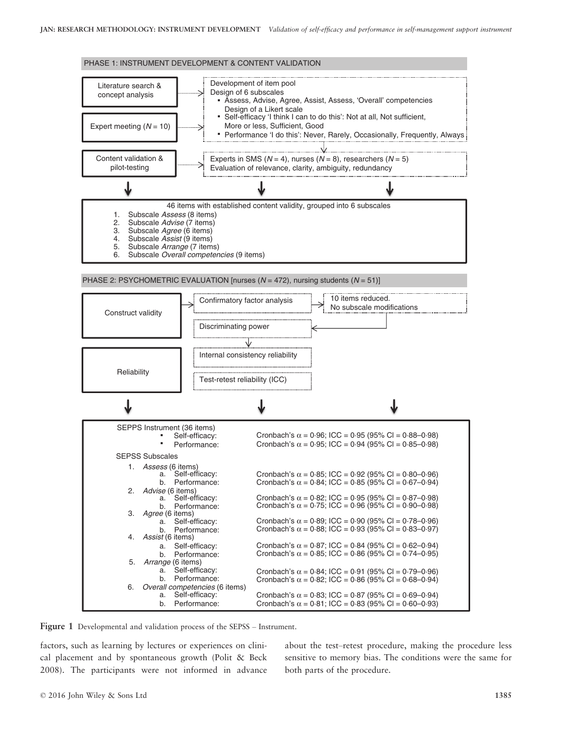





Figure 1 Developmental and validation process of the SEPSS – Instrument.

factors, such as learning by lectures or experiences on clinical placement and by spontaneous growth (Polit & Beck 2008). The participants were not informed in advance about the test–retest procedure, making the procedure less sensitive to memory bias. The conditions were the same for both parts of the procedure.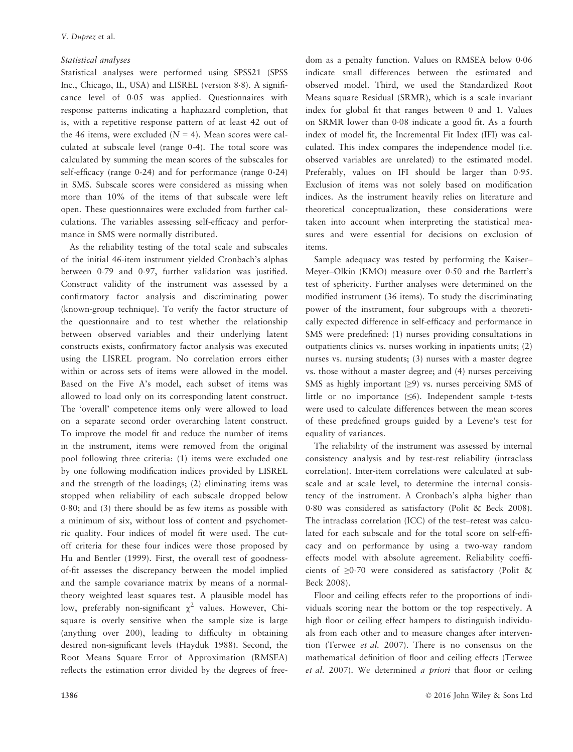## Statistical analyses

Statistical analyses were performed using SPSS21 (SPSS Inc., Chicago, IL, USA) and LISREL (version 8.8). A significance level of 005 was applied. Questionnaires with response patterns indicating a haphazard completion, that is, with a repetitive response pattern of at least 42 out of the 46 items, were excluded  $(N = 4)$ . Mean scores were calculated at subscale level (range 0-4). The total score was calculated by summing the mean scores of the subscales for self-efficacy (range 0-24) and for performance (range 0-24) in SMS. Subscale scores were considered as missing when more than 10% of the items of that subscale were left open. These questionnaires were excluded from further calculations. The variables assessing self-efficacy and performance in SMS were normally distributed.

As the reliability testing of the total scale and subscales of the initial 46-item instrument yielded Cronbach's alphas between 0.79 and 0.97, further validation was justified. Construct validity of the instrument was assessed by a confirmatory factor analysis and discriminating power (known-group technique). To verify the factor structure of the questionnaire and to test whether the relationship between observed variables and their underlying latent constructs exists, confirmatory factor analysis was executed using the LISREL program. No correlation errors either within or across sets of items were allowed in the model. Based on the Five A's model, each subset of items was allowed to load only on its corresponding latent construct. The 'overall' competence items only were allowed to load on a separate second order overarching latent construct. To improve the model fit and reduce the number of items in the instrument, items were removed from the original pool following three criteria: (1) items were excluded one by one following modification indices provided by LISREL and the strength of the loadings; (2) eliminating items was stopped when reliability of each subscale dropped below 080; and (3) there should be as few items as possible with a minimum of six, without loss of content and psychometric quality. Four indices of model fit were used. The cutoff criteria for these four indices were those proposed by Hu and Bentler (1999). First, the overall test of goodnessof-fit assesses the discrepancy between the model implied and the sample covariance matrix by means of a normaltheory weighted least squares test. A plausible model has low, preferably non-significant  $\chi^2$  values. However, Chisquare is overly sensitive when the sample size is large (anything over 200), leading to difficulty in obtaining desired non-significant levels (Hayduk 1988). Second, the Root Means Square Error of Approximation (RMSEA) reflects the estimation error divided by the degrees of freedom as a penalty function. Values on RMSEA below 0.06 indicate small differences between the estimated and observed model. Third, we used the Standardized Root Means square Residual (SRMR), which is a scale invariant index for global fit that ranges between 0 and 1. Values on SRMR lower than 008 indicate a good fit. As a fourth index of model fit, the Incremental Fit Index (IFI) was calculated. This index compares the independence model (i.e. observed variables are unrelated) to the estimated model. Preferably, values on IFI should be larger than 0.95. Exclusion of items was not solely based on modification indices. As the instrument heavily relies on literature and theoretical conceptualization, these considerations were taken into account when interpreting the statistical measures and were essential for decisions on exclusion of items.

Sample adequacy was tested by performing the Kaiser– Meyer–Olkin (KMO) measure over 0.50 and the Bartlett's test of sphericity. Further analyses were determined on the modified instrument (36 items). To study the discriminating power of the instrument, four subgroups with a theoretically expected difference in self-efficacy and performance in SMS were predefined: (1) nurses providing consultations in outpatients clinics vs. nurses working in inpatients units; (2) nurses vs. nursing students; (3) nurses with a master degree vs. those without a master degree; and (4) nurses perceiving SMS as highly important  $(≥9)$  vs. nurses perceiving SMS of little or no importance (≤6). Independent sample t-tests were used to calculate differences between the mean scores of these predefined groups guided by a Levene's test for equality of variances.

The reliability of the instrument was assessed by internal consistency analysis and by test-rest reliability (intraclass correlation). Inter-item correlations were calculated at subscale and at scale level, to determine the internal consistency of the instrument. A Cronbach's alpha higher than 080 was considered as satisfactory (Polit & Beck 2008). The intraclass correlation (ICC) of the test–retest was calculated for each subscale and for the total score on self-efficacy and on performance by using a two-way random effects model with absolute agreement. Reliability coefficients of ≥070 were considered as satisfactory (Polit & Beck 2008).

Floor and ceiling effects refer to the proportions of individuals scoring near the bottom or the top respectively. A high floor or ceiling effect hampers to distinguish individuals from each other and to measure changes after intervention (Terwee et al. 2007). There is no consensus on the mathematical definition of floor and ceiling effects (Terwee et al. 2007). We determined a priori that floor or ceiling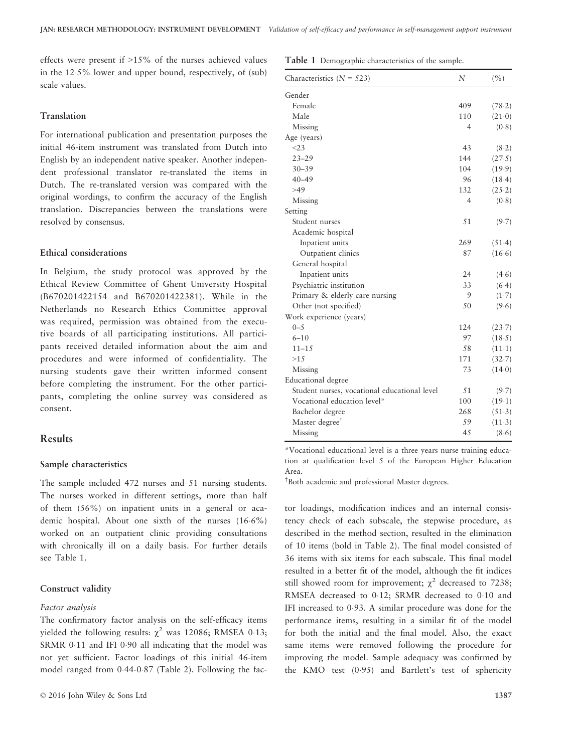effects were present if >15% of the nurses achieved values in the 125% lower and upper bound, respectively, of (sub) scale values.

## Translation

For international publication and presentation purposes the initial 46-item instrument was translated from Dutch into English by an independent native speaker. Another independent professional translator re-translated the items in Dutch. The re-translated version was compared with the original wordings, to confirm the accuracy of the English translation. Discrepancies between the translations were resolved by consensus.

#### Ethical considerations

In Belgium, the study protocol was approved by the Ethical Review Committee of Ghent University Hospital (B670201422154 and B670201422381). While in the Netherlands no Research Ethics Committee approval was required, permission was obtained from the executive boards of all participating institutions. All participants received detailed information about the aim and procedures and were informed of confidentiality. The nursing students gave their written informed consent before completing the instrument. For the other participants, completing the online survey was considered as consent.

## Results

#### Sample characteristics

The sample included 472 nurses and 51 nursing students. The nurses worked in different settings, more than half of them (56%) on inpatient units in a general or academic hospital. About one sixth of the nurses (166%) worked on an outpatient clinic providing consultations with chronically ill on a daily basis. For further details see Table 1.

## Construct validity

#### Factor analysis

The confirmatory factor analysis on the self-efficacy items yielded the following results:  $\chi^2$  was 12086; RMSEA 0.13; SRMR 0.11 and IFI 0.90 all indicating that the model was not yet sufficient. Factor loadings of this initial 46-item model ranged from 044-087 (Table 2). Following the fac-

#### Table 1 Demographic characteristics of the sample.

| Characteristics ( $N = 523$ )                | N   | (%)      |
|----------------------------------------------|-----|----------|
| Gender                                       |     |          |
| Female                                       | 409 | (78.2)   |
| Male                                         | 110 | (21.0)   |
| Missing                                      | 4   | (0.8)    |
| Age (years)                                  |     |          |
| $<$ 23                                       | 43  | (8.2)    |
| $23 - 29$                                    | 144 | (27.5)   |
| $30 - 39$                                    | 104 | (19.9)   |
| $40 - 49$                                    | 96  | (18.4)   |
| >49                                          | 132 | (25.2)   |
| Missing                                      | 4   | (0.8)    |
| Setting                                      |     |          |
| Student nurses                               | 51  | (9.7)    |
| Academic hospital                            |     |          |
| Inpatient units                              | 269 | (51.4)   |
| Outpatient clinics                           | 87  | (16.6)   |
| General hospital                             |     |          |
| Inpatient units                              | 24  | (4.6)    |
| Psychiatric institution                      | 33  | (6.4)    |
| Primary & elderly care nursing               | 9   | (1.7)    |
| Other (not specified)                        | 50  | (9.6)    |
| Work experience (years)                      |     |          |
| $0 - 5$                                      | 124 | (23.7)   |
| $6 - 10$                                     | 97  | (18.5)   |
| $11 - 15$                                    | 58  | $(11-1)$ |
| >15                                          | 171 | (32.7)   |
| Missing                                      | 73  | (14.0)   |
| Educational degree                           |     |          |
| Student nurses, vocational educational level | 51  | (9.7)    |
| Vocational education level*                  | 100 | (19.1)   |
| Bachelor degree                              | 268 | (51.3)   |
| Master degree <sup>†</sup>                   | 59  | $(11-3)$ |
| Missing                                      | 45  | (8.6)    |

\*Vocational educational level is a three years nurse training education at qualification level 5 of the European Higher Education Area.

† Both academic and professional Master degrees.

tor loadings, modification indices and an internal consistency check of each subscale, the stepwise procedure, as described in the method section, resulted in the elimination of 10 items (bold in Table 2). The final model consisted of 36 items with six items for each subscale. This final model resulted in a better fit of the model, although the fit indices still showed room for improvement;  $\chi^2$  decreased to 7238; RMSEA decreased to 0.12; SRMR decreased to 0.10 and IFI increased to 0.93. A similar procedure was done for the performance items, resulting in a similar fit of the model for both the initial and the final model. Also, the exact same items were removed following the procedure for improving the model. Sample adequacy was confirmed by the KMO test (0.95) and Bartlett's test of sphericity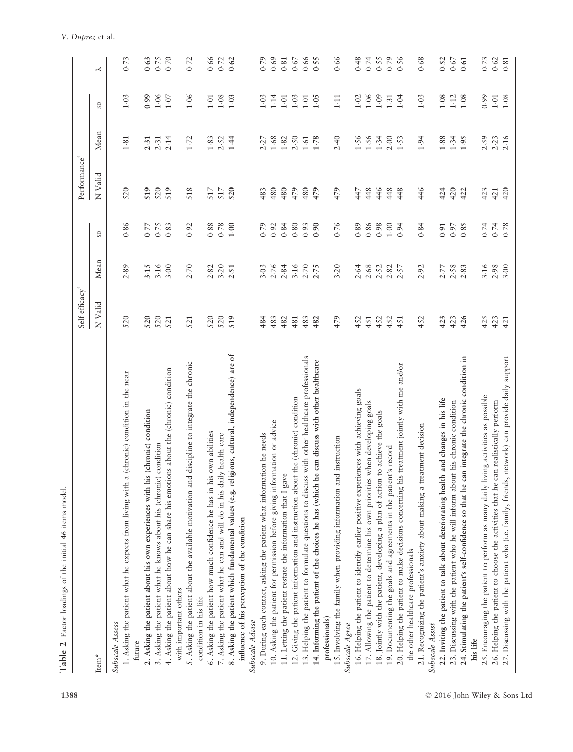| Table 2 Factor loadings of the initial 46 items model                                                                                          |                            |      |                |                          |      |                 |         |
|------------------------------------------------------------------------------------------------------------------------------------------------|----------------------------|------|----------------|--------------------------|------|-----------------|---------|
|                                                                                                                                                | Self-efficacy <sup>+</sup> |      |                | Performance <sup>†</sup> |      |                 |         |
| Item*                                                                                                                                          | N Valid                    | Mean | GS             | N Valid                  | Mean | G               | $\prec$ |
| a (chronic) condition in the near<br>1. Asking the patient what he expects from living with<br>Subscale Assess                                 | 520                        | 2.89 | 0.86           | 520                      | 1.81 | 1.03            | 0.73    |
| tuture                                                                                                                                         |                            |      |                |                          |      |                 |         |
| 2. Asking the patient about his own experiences with his (chronic) condition                                                                   | 520                        | 3.15 | 0.77           | 519                      | 2.31 | 66.0            | 0.63    |
| 3. Asking the patient what he knows about his (chronic) condition                                                                              | 520                        | 3.16 | 0.75           | 520                      | 2.31 | 1.06            | 0.75    |
| 4. Asking the patient about how he can share his emotions about the (chronic) condition                                                        | 521                        | 3.00 | 0.83           | 519                      | 2.14 | 1.07            | 0.70    |
| with important others                                                                                                                          |                            |      |                |                          |      |                 |         |
| 5. Asking the patient about the available motivation and discipline to integrate the chronic                                                   | 521                        | 2.70 | 0.92           | 518                      | 1.72 | 1.06            | 0.72    |
| condition in his life                                                                                                                          |                            |      |                |                          |      |                 |         |
| is own abilities<br>6. Asking the patient how much confidence he has in h                                                                      | 520                        | 2.82 | 0.88           | 517                      | 1.83 | 10 <sub>1</sub> | 0.66    |
| 7. Asking the patient what he can and will do in his daily health care                                                                         | 520                        | 3.20 | 0.78           | 517                      | 2.52 | 1.08            | 0.72    |
| 8. Asking the patient which fundamental values (e.g. religious, cultural, independence) are of<br>influence of his perception of the condition | 519                        | 2.51 | 1.00           | 520                      | 1.44 | 1.03            | 0.62    |
| Subscale Advise                                                                                                                                |                            |      |                |                          |      |                 |         |
| 9. During each contact, asking the patient what information he needs                                                                           | 484                        | 3.03 | 0.79           | 483                      | 2.27 | 1.03            | 0.79    |
| 10. Asking the patient for permission before giving information or advice                                                                      | 483                        | 2.76 | 0.92           | 480                      | 1.68 | 1.14            | 0.69    |
| 11. Letting the patient restate the information that I gave                                                                                    | 482                        | 2.84 | 0.84           | 480                      | 1.82 | 10 <sub>1</sub> | 0.81    |
| 12. Giving the patient information and instruction about the (chronic) condition                                                               | 481                        | 3.16 | 0.80           | 479                      | 2.50 | 1.03            | 0.67    |
| 13. Helping the patient to formulate questions to discuss with other healthcare professionals                                                  | 483                        | 2.70 | 0.93           | 480                      | 1.61 | 10 <sub>1</sub> | 0.66    |
| he can discuss with other healthcare<br>14. Informing the patient of the choices he has (which                                                 | 482                        | 2.75 | 0.90           | 479                      | 1.78 | 1.05            | 0.55    |
| professionals)                                                                                                                                 |                            |      |                |                          |      |                 |         |
| 15. Involving the family when providing information and instruction<br>Subscale Agree                                                          | 479                        | 3.20 | 0.76           | 479                      | 2.40 | 111             | 0.66    |
| 16. Helping the patient to identify earlier positive experiences with achieving goals                                                          | 452                        | 2.64 | 0.89           | 447                      | 1.56 | 1.02            | 0.48    |
| 17. Allowing the patient to determine his own priorities when developing goals                                                                 | 451                        | 2.68 | 0.86           | 448                      | 1.56 | 0.1             | 0.74    |
| 18. Jointly with the patient, developing a plan of action to achieve the goals                                                                 | 452                        | 2.52 | 0.98           | 446                      | 1.34 | 60.1            | 0.55    |
| 19. Documenting the goals and agreements in the patient's record                                                                               | 452                        | 2.82 | $1\!\cdot\!00$ | 448                      | 2.00 | 1.31            | 0.79    |
| 20. Helping the patient to make decisions concerning his treatment jointly with me and/or                                                      | 451                        | 2.57 | 0.94           | 448                      | 1.53 | $-04$           | 0.56    |
| the other healthcare professionals                                                                                                             |                            |      |                |                          |      |                 |         |
| 21. Recognizing the patient's anxiety about making a treatment decision                                                                        | 452                        | 2.92 | 0.84           | 446                      | 1.94 | 1.03            | 0.68    |
| Subscale Assist                                                                                                                                |                            |      |                |                          |      |                 |         |
| 22. Inviting the patient to talk about deteriorating health and changes in his life                                                            | 423                        | 2.77 | 0.91           | 424                      | 1.88 | 1.08            | 0.52    |
| 23. Discussing with the patient who he will inform about his chronic condition                                                                 | 423                        | 2.58 | 0.97           | 420                      | 1.34 | 1.12            | 0.67    |
| can integrate the chronic condition in<br>24. Stimulating the patient's self-confidence so that he<br>his life                                 | 426                        | 2.83 | 0.85           | 422                      | 1.95 | 1.08            | 0.61    |
| living activities as possible<br>25. Encouraging the patient to perform as many daily                                                          | 425                        | 3.16 | 0.74           | 423                      | 2.59 | 66.0            | 0.73    |
| can realistically perform<br>26. Helping the patient to choose the activities that he                                                          | 423                        | 2.98 | 0.74           | 421                      | 2.23 | 1.01            | 0.62    |
| Discussing with the patient who (i.e. family, friends, network) can provide daily support<br>27.                                               | 421                        | 3.00 | 0.78           | 420                      | 2.16 | 1.08            | 0.81    |
|                                                                                                                                                |                            |      |                |                          |      |                 |         |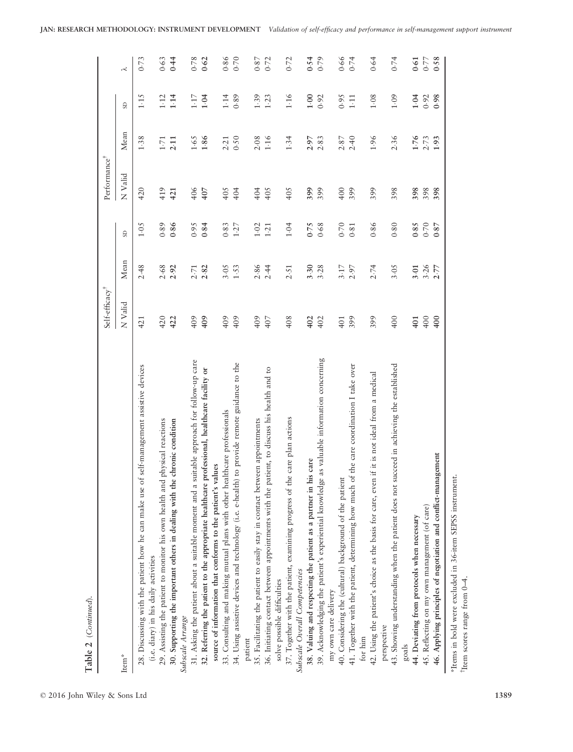|                                                                                                                                                                | Self-efficacy <sup>†</sup> |      |      | Performance <sup>†</sup> |                  |       |         |
|----------------------------------------------------------------------------------------------------------------------------------------------------------------|----------------------------|------|------|--------------------------|------------------|-------|---------|
| Item <sup>*</sup>                                                                                                                                              | N Valid                    | Mean | SD   | N Valid                  | Mean             | GS    | $\prec$ |
| 28. Discussing with the patient how he can make use of self-management assistive devices<br>(i.e. diary) in his daily activities                               | 421                        | 2.48 | 1.05 | 420                      | 1.38             | 1.15  | 0.73    |
| 29. Assisting the patient to monitor his own health and physical reactions                                                                                     | 420                        | 2.68 | 0.89 | 419                      |                  | 1.12  | 0.63    |
| 30. Supporting the important others in dealing with the chronic condition<br>Subscale Arrange                                                                  | 422                        | 2.92 | 0.86 | 421                      | $1.71$<br>$2.11$ | 1.14  | 0.44    |
| suitable approach for follow-up care<br>31. Asking the patient about a suitable moment and a                                                                   | 409                        | 2.71 | 0.95 | 406                      | 1.65             | 1.17  | 0.78    |
| professional, healthcare facility or<br>source of information that conforms to the patient's values<br>32. Referring the patient to the appropriate healthcare | 409                        | 2.82 | 0.84 | 407                      | 1.86             | 1.04  | 0.62    |
| 33. Consulting and making mutual plans with other healthcare professionals                                                                                     | 409                        | 3.05 | 0.83 | 405                      | 2.21             | 1.14  | 0.86    |
| 34. Using assistive devices and technology (i.e. e-health) to provide remote guidance to the                                                                   | 409                        | 1.53 | 1.27 | 404                      | 0.50             | 0.89  | 0.70    |
| patient                                                                                                                                                        |                            |      |      |                          |                  |       |         |
| 35. Facilitating the patient to easily stay in contact between appointments                                                                                    | 409                        | 2.86 | 1.02 | 404                      | 2.08             | 1.39  | 0.87    |
| 36. Initiating contact between appointments with the patient, to discuss his health and to<br>solve possible difficulties                                      | 407                        | 2.44 | 1:21 | 405                      | 1.16             | 1.23  | 0.72    |
| 37. Together with the patient, examining progress of the care plan actions<br>Subscale Overall Competencies                                                    | 408                        | 2.51 | 1.04 | 405                      | 1.34             | 1.16  | 0.72    |
| his care<br>38. Valuing and respecting the patient as a partner in                                                                                             | 402                        | 3.30 | 0.75 | 399                      | 2.97             | 1.00  | 0.54    |
| 39. Acknowledging the patient's experiential knowledge as valuable information concerning                                                                      | 402                        | 3.28 | 0.68 | 399                      | 2.83             | 0.92  | 0.79    |
| my own care delivery                                                                                                                                           |                            |      |      |                          |                  |       |         |
| 40. Considering the (cultural) background of the patient                                                                                                       | 401                        | 3.17 | 0.70 | 400                      | 2.87             | 0.95  | 0.66    |
| 41. Together with the patient, determining how much of the care coordination I take over<br>for him                                                            | 399                        | 2.97 | 0.81 | 399                      | 2.40             | $\Xi$ | 0.74    |
| if it is not ideal from a medical<br>42. Using the patient's choice as the basis for care, even                                                                | 399                        | 2.74 | 0.86 | 399                      | 0.1.1            | 1.08  | 0.64    |
| succeed in achieving the established<br>43. Showing understanding when the patient does not<br>perspective<br>goals                                            | 400                        | 3.05 | 0.80 | 398                      | 2.36             | 1.09  | 0.74    |
| 44. Deviating from protocols when necessary                                                                                                                    | 401                        | 3.01 | 0.85 | 398                      | 1.76             | 1.04  | 0.61    |
| 45. Reflecting on my own management (of care)                                                                                                                  | 400                        | 3.26 | 0.70 | 398                      | 2.73             | 0.92  | 0.77    |
| 46. Applying principles of negotiation and conflict-management                                                                                                 | 400                        | 2.77 | 0.87 | 398                      | 1.93             | 0.98  | 0.58    |
| *Items in bold were excluded in 36-item SEPSS instrument.<br><sup>†</sup> Item scores range from 0-4.                                                          |                            |      |      |                          |                  |       |         |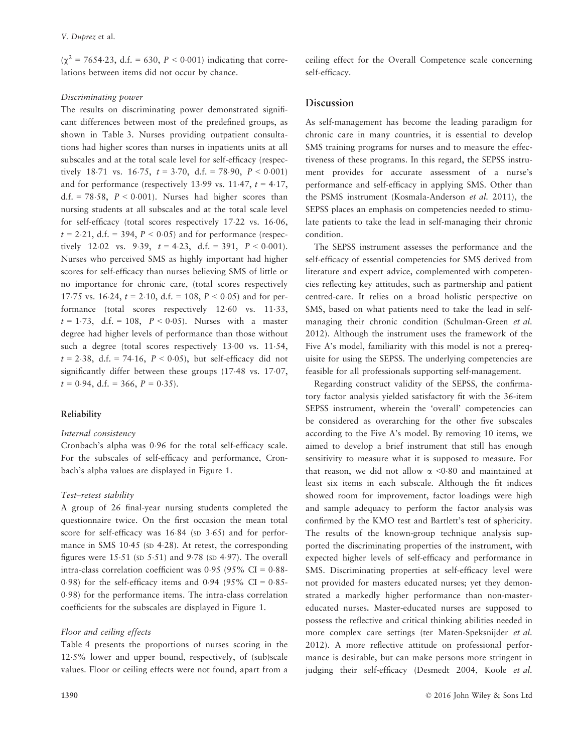$(\chi^2 = 7654.23, d.f. = 630, P < 0.001)$  indicating that correlations between items did not occur by chance.

#### Discriminating power

The results on discriminating power demonstrated significant differences between most of the predefined groups, as shown in Table 3. Nurses providing outpatient consultations had higher scores than nurses in inpatients units at all subscales and at the total scale level for self-efficacy (respectively 1871 vs. 1675,  $t = 3.70$ , d.f. = 78.90,  $P < 0.001$ ) and for performance (respectively 13.99 vs. 11.47,  $t = 4.17$ , d.f. = 78.58,  $P < 0.001$ ). Nurses had higher scores than nursing students at all subscales and at the total scale level for self-efficacy (total scores respectively 17.22 vs. 16.06,  $t = 2.21$ , d.f. = 394,  $P < 0.05$ ) and for performance (respectively 12.02 vs. 9.39,  $t = 4.23$ , d.f. = 391,  $P < 0.001$ ). Nurses who perceived SMS as highly important had higher scores for self-efficacy than nurses believing SMS of little or no importance for chronic care, (total scores respectively 17.75 vs. 16.24,  $t = 2.10$ , d.f. = 108,  $P < 0.05$ ) and for performance (total scores respectively 12.60 vs. 11.33,  $t = 1.73$ , d.f. = 108,  $P < 0.05$ ). Nurses with a master degree had higher levels of performance than those without such a degree (total scores respectively 13.00 vs. 11.54,  $t = 2.38$ , d.f. = 74.16,  $P < 0.05$ ), but self-efficacy did not significantly differ between these groups (17.48 vs. 17.07,  $t = 0.94$ , d.f. = 366,  $P = 0.35$ ).

## Reliability

## Internal consistency

Cronbach's alpha was 0.96 for the total self-efficacy scale. For the subscales of self-efficacy and performance, Cronbach's alpha values are displayed in Figure 1.

#### Test–retest stability

A group of 26 final-year nursing students completed the questionnaire twice. On the first occasion the mean total score for self-efficacy was  $16.84$  (sp  $3.65$ ) and for performance in SMS 10.45 (sp 4.28). At retest, the corresponding figures were  $15.51$  (SD  $5.51$ ) and  $9.78$  (SD  $4.97$ ). The overall intra-class correlation coefficient was  $0.95$  ( $95\%$  CI =  $0.88$ -0.98) for the self-efficacy items and 0.94 (95% CI =  $0.85$ -098) for the performance items. The intra-class correlation coefficients for the subscales are displayed in Figure 1.

## Floor and ceiling effects

Table 4 presents the proportions of nurses scoring in the 125% lower and upper bound, respectively, of (sub)scale values. Floor or ceiling effects were not found, apart from a ceiling effect for the Overall Competence scale concerning self-efficacy.

## Discussion

As self-management has become the leading paradigm for chronic care in many countries, it is essential to develop SMS training programs for nurses and to measure the effectiveness of these programs. In this regard, the SEPSS instrument provides for accurate assessment of a nurse's performance and self-efficacy in applying SMS. Other than the PSMS instrument (Kosmala-Anderson et al. 2011), the SEPSS places an emphasis on competencies needed to stimulate patients to take the lead in self-managing their chronic condition.

The SEPSS instrument assesses the performance and the self-efficacy of essential competencies for SMS derived from literature and expert advice, complemented with competencies reflecting key attitudes, such as partnership and patient centred-care. It relies on a broad holistic perspective on SMS, based on what patients need to take the lead in selfmanaging their chronic condition (Schulman-Green et al. 2012). Although the instrument uses the framework of the Five A's model, familiarity with this model is not a prerequisite for using the SEPSS. The underlying competencies are feasible for all professionals supporting self-management.

Regarding construct validity of the SEPSS, the confirmatory factor analysis yielded satisfactory fit with the 36-item SEPSS instrument, wherein the 'overall' competencies can be considered as overarching for the other five subscales according to the Five A's model. By removing 10 items, we aimed to develop a brief instrument that still has enough sensitivity to measure what it is supposed to measure. For that reason, we did not allow  $\alpha$  <0.80 and maintained at least six items in each subscale. Although the fit indices showed room for improvement, factor loadings were high and sample adequacy to perform the factor analysis was confirmed by the KMO test and Bartlett's test of sphericity. The results of the known-group technique analysis supported the discriminating properties of the instrument, with expected higher levels of self-efficacy and performance in SMS. Discriminating properties at self-efficacy level were not provided for masters educated nurses; yet they demonstrated a markedly higher performance than non-mastereducated nurses. Master-educated nurses are supposed to possess the reflective and critical thinking abilities needed in more complex care settings (ter Maten-Speksnijder et al. 2012). A more reflective attitude on professional performance is desirable, but can make persons more stringent in judging their self-efficacy (Desmedt 2004, Koole et al.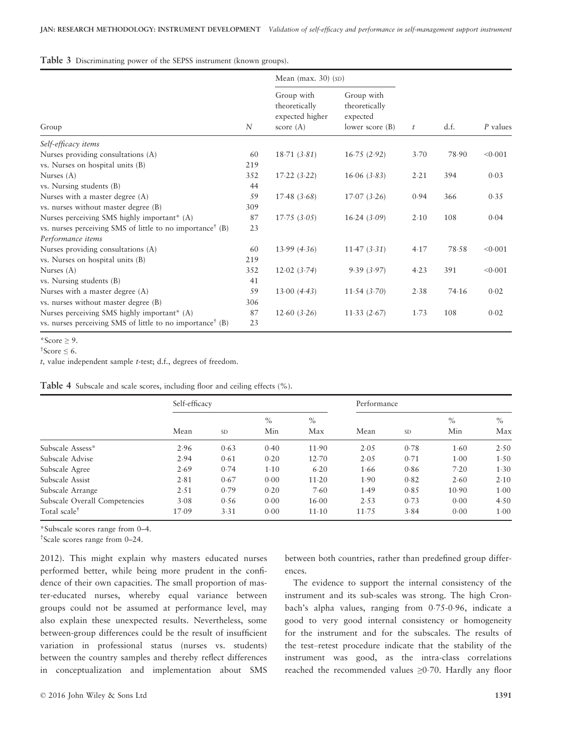|  |  |  | <b>Table 3</b> Discriminating power of the SEPSS instrument (known groups). |  |  |  |  |  |  |  |
|--|--|--|-----------------------------------------------------------------------------|--|--|--|--|--|--|--|
|--|--|--|-----------------------------------------------------------------------------|--|--|--|--|--|--|--|

|                                                                       |     | Mean (max. $30$ ) (sD)                                        |                                                              |      |       |            |
|-----------------------------------------------------------------------|-----|---------------------------------------------------------------|--------------------------------------------------------------|------|-------|------------|
| Group                                                                 | N   | Group with<br>theoretically<br>expected higher<br>score $(A)$ | Group with<br>theoretically<br>expected<br>lower score $(B)$ | t    | d.f.  | $P$ values |
| Self-efficacy items                                                   |     |                                                               |                                                              |      |       |            |
| Nurses providing consultations (A)                                    | 60  | 18.71(3.81)                                                   | 16.75(2.92)                                                  | 3.70 | 78.90 | < 0.001    |
| vs. Nurses on hospital units (B)                                      | 219 |                                                               |                                                              |      |       |            |
| Nurses (A)                                                            | 352 | 17.22(3.22)                                                   | 16.06(3.83)                                                  | 2.21 | 394   | 0.03       |
| vs. Nursing students (B)                                              | 44  |                                                               |                                                              |      |       |            |
| Nurses with a master degree (A)                                       | 59  | 17.48(3.68)                                                   | 17.07(3.26)                                                  | 0.94 | 366   | 0.35       |
| vs. nurses without master degree (B)                                  | 309 |                                                               |                                                              |      |       |            |
| Nurses perceiving SMS highly important* (A)                           | 87  | 17.75(3.05)                                                   | 16.24(3.09)                                                  | 2.10 | 108   | 0.04       |
| vs. nurses perceiving SMS of little to no importance <sup>†</sup> (B) | 23  |                                                               |                                                              |      |       |            |
| Performance items                                                     |     |                                                               |                                                              |      |       |            |
| Nurses providing consultations (A)                                    | 60  | 13.99(4.36)                                                   | 11.47(3.31)                                                  | 4.17 | 78.58 | < 0.001    |
| vs. Nurses on hospital units (B)                                      | 219 |                                                               |                                                              |      |       |            |
| Nurses $(A)$                                                          | 352 | 12.02(3.74)                                                   | 9.39(3.97)                                                   | 4.23 | 391   | < 0.001    |
| vs. Nursing students (B)                                              | 41  |                                                               |                                                              |      |       |            |
| Nurses with a master degree (A)                                       | 59  | 13.00(4.43)                                                   | 11.54(3.70)                                                  | 2.38 | 74.16 | 0.02       |
| vs. nurses without master degree (B)                                  | 306 |                                                               |                                                              |      |       |            |
| Nurses perceiving SMS highly important* (A)                           | 87  | 12.60(3.26)                                                   | 11.33(2.67)                                                  | 1.73 | 108   | 0.02       |
| vs. nurses perceiving SMS of little to no importance <sup>†</sup> (B) | 23  |                                                               |                                                              |      |       |            |

<sup>\*</sup>Score  $\geq 9$ .

t, value independent sample t-test; d.f., degrees of freedom.

|  |  |  |  |  | Table 4 Subscale and scale scores, including floor and ceiling effects (%). |  |  |  |  |  |  |  |
|--|--|--|--|--|-----------------------------------------------------------------------------|--|--|--|--|--|--|--|
|--|--|--|--|--|-----------------------------------------------------------------------------|--|--|--|--|--|--|--|

|                               | Self-efficacy |           |             |             | Performance |           |             |             |
|-------------------------------|---------------|-----------|-------------|-------------|-------------|-----------|-------------|-------------|
|                               | Mean          | <b>SD</b> | $\%$<br>Min | $\%$<br>Max | Mean        | <b>SD</b> | $\%$<br>Min | $\%$<br>Max |
| Subscale Assess*              | 2.96          | 0.63      | 0.40        | 11.90       | 2.05        | 0.78      | 1.60        | 2.50        |
| Subscale Advise               | 2.94          | 0.61      | 0.20        | 12.70       | 2.05        | 0.71      | 1.00        | 1.50        |
| Subscale Agree                | 2.69          | 0.74      | $1-10$      | 6.20        | 1.66        | 0.86      | 7.20        | 1.30        |
| Subscale Assist               | 2.81          | 0.67      | 0.00        | $11-20$     | 1.90        | 0.82      | 2.60        | 2.10        |
| Subscale Arrange              | 2.51          | 0.79      | 0.20        | 7.60        | 1.49        | 0.85      | 10.90       | 1.00        |
| Subscale Overall Competencies | 3.08          | 0.56      | 0.00        | 16.00       | 2.53        | 0.73      | 0.00        | 4.50        |
| Total scale <sup>†</sup>      | 17.09         | 3.31      | 0.00        | $11-10$     | 11.75       | 3.84      | 0.00        | 1.00        |

\*Subscale scores range from 0–4.

† Scale scores range from 0–24.

2012). This might explain why masters educated nurses performed better, while being more prudent in the confidence of their own capacities. The small proportion of master-educated nurses, whereby equal variance between groups could not be assumed at performance level, may also explain these unexpected results. Nevertheless, some between-group differences could be the result of insufficient variation in professional status (nurses vs. students) between the country samples and thereby reflect differences in conceptualization and implementation about SMS

between both countries, rather than predefined group differences.

The evidence to support the internal consistency of the instrument and its sub-scales was strong. The high Cronbach's alpha values, ranging from 0.75-0.96, indicate a good to very good internal consistency or homogeneity for the instrument and for the subscales. The results of the test–retest procedure indicate that the stability of the instrument was good, as the intra-class correlations reached the recommended values  $\geq 0.70$ . Hardly any floor

<sup>†</sup> Score ≤ 6.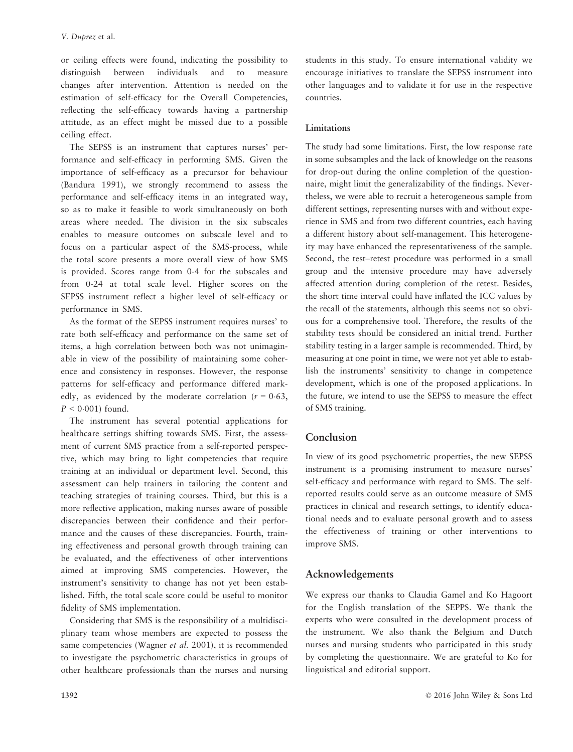or ceiling effects were found, indicating the possibility to distinguish between individuals and to measure changes after intervention. Attention is needed on the estimation of self-efficacy for the Overall Competencies, reflecting the self-efficacy towards having a partnership attitude, as an effect might be missed due to a possible ceiling effect.

The SEPSS is an instrument that captures nurses' performance and self-efficacy in performing SMS. Given the importance of self-efficacy as a precursor for behaviour (Bandura 1991), we strongly recommend to assess the performance and self-efficacy items in an integrated way, so as to make it feasible to work simultaneously on both areas where needed. The division in the six subscales enables to measure outcomes on subscale level and to focus on a particular aspect of the SMS-process, while the total score presents a more overall view of how SMS is provided. Scores range from 0-4 for the subscales and from 0-24 at total scale level. Higher scores on the SEPSS instrument reflect a higher level of self-efficacy or performance in SMS.

As the format of the SEPSS instrument requires nurses' to rate both self-efficacy and performance on the same set of items, a high correlation between both was not unimaginable in view of the possibility of maintaining some coherence and consistency in responses. However, the response patterns for self-efficacy and performance differed markedly, as evidenced by the moderate correlation ( $r = 0.63$ ,  $P < 0.001$  found.

The instrument has several potential applications for healthcare settings shifting towards SMS. First, the assessment of current SMS practice from a self-reported perspective, which may bring to light competencies that require training at an individual or department level. Second, this assessment can help trainers in tailoring the content and teaching strategies of training courses. Third, but this is a more reflective application, making nurses aware of possible discrepancies between their confidence and their performance and the causes of these discrepancies. Fourth, training effectiveness and personal growth through training can be evaluated, and the effectiveness of other interventions aimed at improving SMS competencies. However, the instrument's sensitivity to change has not yet been established. Fifth, the total scale score could be useful to monitor fidelity of SMS implementation.

Considering that SMS is the responsibility of a multidisciplinary team whose members are expected to possess the same competencies (Wagner et al. 2001), it is recommended to investigate the psychometric characteristics in groups of other healthcare professionals than the nurses and nursing

students in this study. To ensure international validity we encourage initiatives to translate the SEPSS instrument into other languages and to validate it for use in the respective countries.

## Limitations

The study had some limitations. First, the low response rate in some subsamples and the lack of knowledge on the reasons for drop-out during the online completion of the questionnaire, might limit the generalizability of the findings. Nevertheless, we were able to recruit a heterogeneous sample from different settings, representing nurses with and without experience in SMS and from two different countries, each having a different history about self-management. This heterogeneity may have enhanced the representativeness of the sample. Second, the test–retest procedure was performed in a small group and the intensive procedure may have adversely affected attention during completion of the retest. Besides, the short time interval could have inflated the ICC values by the recall of the statements, although this seems not so obvious for a comprehensive tool. Therefore, the results of the stability tests should be considered an initial trend. Further stability testing in a larger sample is recommended. Third, by measuring at one point in time, we were not yet able to establish the instruments' sensitivity to change in competence development, which is one of the proposed applications. In the future, we intend to use the SEPSS to measure the effect of SMS training.

## Conclusion

In view of its good psychometric properties, the new SEPSS instrument is a promising instrument to measure nurses' self-efficacy and performance with regard to SMS. The selfreported results could serve as an outcome measure of SMS practices in clinical and research settings, to identify educational needs and to evaluate personal growth and to assess the effectiveness of training or other interventions to improve SMS.

## Acknowledgements

We express our thanks to Claudia Gamel and Ko Hagoort for the English translation of the SEPPS. We thank the experts who were consulted in the development process of the instrument. We also thank the Belgium and Dutch nurses and nursing students who participated in this study by completing the questionnaire. We are grateful to Ko for linguistical and editorial support.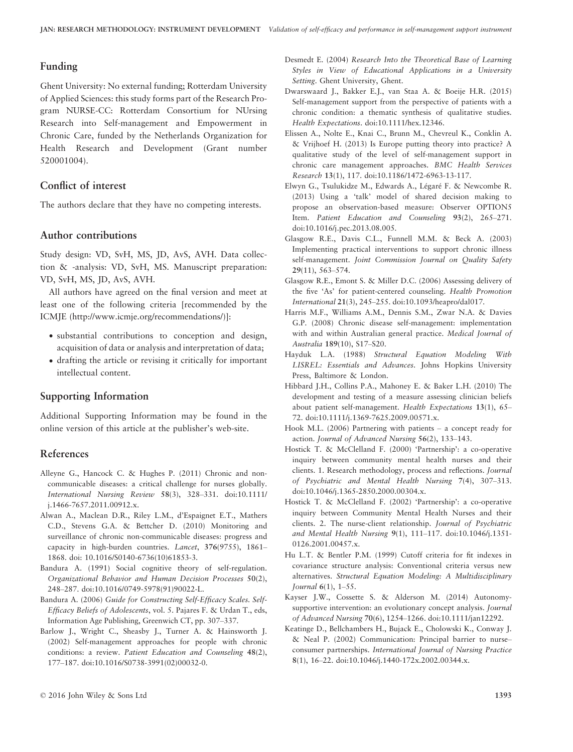## Funding

Ghent University: No external funding; Rotterdam University of Applied Sciences: this study forms part of the Research Program NURSE-CC: Rotterdam Consortium for NUrsing Research into Self-management and Empowerment in Chronic Care, funded by the Netherlands Organization for Health Research and Development (Grant number 520001004).

## Conflict of interest

The authors declare that they have no competing interests.

## Author contributions

Study design: VD, SvH, MS, JD, AvS, AVH. Data collection & -analysis: VD, SvH, MS. Manuscript preparation: VD, SvH, MS, JD, AvS, AVH.

All authors have agreed on the final version and meet at least one of the following criteria [recommended by the ICMJE [\(http://www.icmje.org/recommendations/\)](http://www.icmje.org/recommendations/)]:

- substantial contributions to conception and design, acquisition of data or analysis and interpretation of data;
- drafting the article or revising it critically for important intellectual content.

## Supporting Information

Additional Supporting Information may be found in the online version of this article at the publisher's web-site.

## References

- Alleyne G., Hancock C. & Hughes P. (2011) Chronic and noncommunicable diseases: a critical challenge for nurses globally. International Nursing Review 58(3), 328–331. doi:[10.1111/](info:doi/10.1111/j.1466-7657.2011.00912.x) [j.1466-7657.2011.00912.x](info:doi/10.1111/j.1466-7657.2011.00912.x).
- Alwan A., Maclean D.R., Riley L.M., d'Espaignet E.T., Mathers C.D., Stevens G.A. & Bettcher D. (2010) Monitoring and surveillance of chronic non-communicable diseases: progress and capacity in high-burden countries. Lancet, 376(9755), 1861– 1868. doi: 10.1016/S0140-6736(10)61853-3.
- Bandura A. (1991) Social cognitive theory of self-regulation. Organizational Behavior and Human Decision Processes 50(2), 248–287. doi[:10.1016/0749-5978\(91\)90022-L](info:doi/10.1016/0749-5978(91)90022-L).
- Bandura A. (2006) Guide for Constructing Self-Efficacy Scales. Self-Efficacy Beliefs of Adolescents, vol. 5. Pajares F. & Urdan T., eds, Information Age Publishing, Greenwich CT, pp. 307–337.
- Barlow J., Wright C., Sheasby J., Turner A. & Hainsworth J. (2002) Self-management approaches for people with chronic conditions: a review. Patient Education and Counseling 48(2), 177–187. doi[:10.1016/S0738-3991\(02\)00032-0.](info:doi/10.1016/S0738-3991(02)00032-0)
- Desmedt E. (2004) Research Into the Theoretical Base of Learning Styles in View of Educational Applications in a University Setting. Ghent University, Ghent.
- Dwarswaard J., Bakker E.J., van Staa A. & Boeije H.R. (2015) Self-management support from the perspective of patients with a chronic condition: a thematic synthesis of qualitative studies. Health Expectations. doi:[10.1111/hex.12346.](info:doi/10.1111/hex.12346)
- Elissen A., Nolte E., Knai C., Brunn M., Chevreul K., Conklin A. & Vrijhoef H. (2013) Is Europe putting theory into practice? A qualitative study of the level of self-management support in chronic care management approaches. BMC Health Services Research 13(1), 117. doi[:10.1186/1472-6963-13-117.](info:doi/10.1186/1472-6963-13-117)
- Elwyn G., Tsulukidze M., Edwards A., Légaré F. & Newcombe R. (2013) Using a 'talk' model of shared decision making to propose an observation-based measure: Observer OPTION5 Item. Patient Education and Counseling 93(2), 265–271. doi[:10.1016/j.pec.2013.08.005](info:doi/10.1016/j.pec.2013.08.005).
- Glasgow R.E., Davis C.L., Funnell M.M. & Beck A. (2003) Implementing practical interventions to support chronic illness self-management. Joint Commission Journal on Quality Safety 29(11), 563–574.
- Glasgow R.E., Emont S. & Miller D.C. (2006) Assessing delivery of the five 'As' for patient-centered counseling. Health Promotion International 21(3), 245–255. doi[:10.1093/heapro/dal017.](info:doi/10.1093/heapro/dal017)
- Harris M.F., Williams A.M., Dennis S.M., Zwar N.A. & Davies G.P. (2008) Chronic disease self-management: implementation with and within Australian general practice. Medical Journal of Australia 189(10), S17–S20.
- Hayduk L.A. (1988) Structural Equation Modeling With LISREL: Essentials and Advances. Johns Hopkins University Press, Baltimore & London.
- Hibbard J.H., Collins P.A., Mahoney E. & Baker L.H. (2010) The development and testing of a measure assessing clinician beliefs about patient self-management. Health Expectations 13(1), 65– 72. doi:[10.1111/j.1369-7625.2009.00571.x](info:doi/10.1111/j.1369-7625.2009.00571.x).
- Hook M.L. (2006) Partnering with patients a concept ready for action. Journal of Advanced Nursing 56(2), 133–143.
- Hostick T. & McClelland F. (2000) 'Partnership': a co-operative inquiry between community mental health nurses and their clients. 1. Research methodology, process and reflections. Journal of Psychiatric and Mental Health Nursing 7(4), 307–313. doi[:10.1046/j.1365-2850.2000.00304.x.](info:doi/10.1046/j.1365-2850.2000.00304.x)
- Hostick T. & McClelland F. (2002) 'Partnership': a co-operative inquiry between Community Mental Health Nurses and their clients. 2. The nurse-client relationship. Journal of Psychiatric and Mental Health Nursing 9(1), 111–117. doi:[10.1046/j.1351-](info:doi/10.1046/j.1351-0126.2001.00457.x) [0126.2001.00457.x](info:doi/10.1046/j.1351-0126.2001.00457.x).
- Hu L.T. & Bentler P.M. (1999) Cutoff criteria for fit indexes in covariance structure analysis: Conventional criteria versus new alternatives. Structural Equation Modeling: A Multidisciplinary Journal 6(1), 1–55.
- Kayser J.W., Cossette S. & Alderson M. (2014) Autonomysupportive intervention: an evolutionary concept analysis. Journal of Advanced Nursing 70(6), 1254–1266. doi[:10.1111/jan12292.](info:doi/10.1111/jan12292)
- Keatinge D., Bellchambers H., Bujack E., Cholowski K., Conway J. & Neal P. (2002) Communication: Principal barrier to nurse– consumer partnerships. International Journal of Nursing Practice 8(1), 16–22. doi:[10.1046/j.1440-172x.2002.00344.x](info:doi/10.1046/j.1440-172x.2002.00344.x).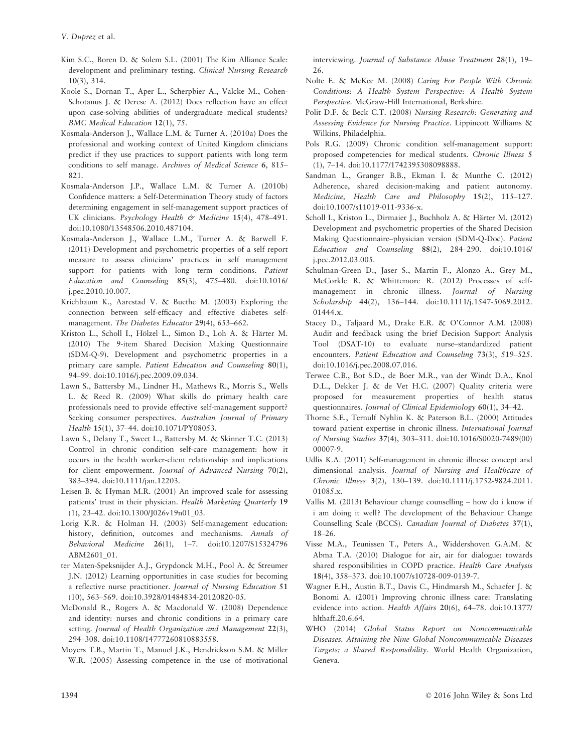- Kim S.C., Boren D. & Solem S.L. (2001) The Kim Alliance Scale: development and preliminary testing. Clinical Nursing Research 10(3), 314.
- Koole S., Dornan T., Aper L., Scherpbier A., Valcke M., Cohen-Schotanus J. & Derese A. (2012) Does reflection have an effect upon case-solving abilities of undergraduate medical students? BMC Medical Education 12(1), 75.
- Kosmala-Anderson J., Wallace L.M. & Turner A. (2010a) Does the professional and working context of United Kingdom clinicians predict if they use practices to support patients with long term conditions to self manage. Archives of Medical Science 6, 815– 821.
- Kosmala-Anderson J.P., Wallace L.M. & Turner A. (2010b) Confidence matters: a Self-Determination Theory study of factors determining engagement in self-management support practices of UK clinicians. Psychology Health & Medicine 15(4), 478-491. doi[:10.1080/13548506.2010.487104.](info:doi/10.1080/13548506.2010.487104)
- Kosmala-Anderson J., Wallace L.M., Turner A. & Barwell F. (2011) Development and psychometric properties of a self report measure to assess clinicians' practices in self management support for patients with long term conditions. Patient Education and Counseling 85(3), 475–480. doi[:10.1016/](info:doi/10.1016/j.pec.2010.10.007) [j.pec.2010.10.007](info:doi/10.1016/j.pec.2010.10.007).
- Krichbaum K., Aarestad V. & Buethe M. (2003) Exploring the connection between self-efficacy and effective diabetes selfmanagement. The Diabetes Educator 29(4), 653–662.
- Kriston L., Scholl I., Hölzel L., Simon D., Loh A. & Härter M. (2010) The 9-item Shared Decision Making Questionnaire (SDM-Q-9). Development and psychometric properties in a primary care sample. Patient Education and Counseling 80(1), 94–99. doi:[10.1016/j.pec.2009.09.034.](info:doi/10.1016/j.pec.2009.09.034)
- Lawn S., Battersby M., Lindner H., Mathews R., Morris S., Wells L. & Reed R. (2009) What skills do primary health care professionals need to provide effective self-management support? Seeking consumer perspectives. Australian Journal of Primary Health 15(1), 37–44. doi[:10.1071/PY08053](info:doi/10.1071/PY08053).
- Lawn S., Delany T., Sweet L., Battersby M. & Skinner T.C. (2013) Control in chronic condition self-care management: how it occurs in the health worker-client relationship and implications for client empowerment. Journal of Advanced Nursing 70(2), 383–394. doi:[10.1111/jan.12203](info:doi/10.1111/jan.12203).
- Leisen B. & Hyman M.R. (2001) An improved scale for assessing patients' trust in their physician. Health Marketing Quarterly 19 (1), 23–42. doi[:10.1300/J026v19n01\\_03](info:doi/10.1300/J026v19n01_03).
- Lorig K.R. & Holman H. (2003) Self-management education: history, definition, outcomes and mechanisms. Annals of Behavioral Medicine 26(1), 1–7. doi[:10.1207/S15324796](info:doi/10.1207/S15324796ABM2601_01) [ABM2601\\_01.](info:doi/10.1207/S15324796ABM2601_01)
- ter Maten-Speksnijder A.J., Grypdonck M.H., Pool A. & Streumer J.N. (2012) Learning opportunities in case studies for becoming a reflective nurse practitioner. Journal of Nursing Education 51 (10), 563–569. doi:[10.3928/01484834-20120820-05.](info:doi/10.3928/01484834-20120820-05)
- McDonald R., Rogers A. & Macdonald W. (2008) Dependence and identity: nurses and chronic conditions in a primary care setting. Journal of Health Organization and Management 22(3), 294–308. doi:[10.1108/14777260810883558.](info:doi/10.1108/14777260810883558)
- Moyers T.B., Martin T., Manuel J.K., Hendrickson S.M. & Miller W.R. (2005) Assessing competence in the use of motivational

interviewing. Journal of Substance Abuse Treatment 28(1), 19– 26.

- Nolte E. & McKee M. (2008) Caring For People With Chronic Conditions: A Health System Perspective: A Health System Perspective. McGraw-Hill International, Berkshire.
- Polit D.F. & Beck C.T. (2008) Nursing Research: Generating and Assessing Evidence for Nursing Practice. Lippincott Williams & Wilkins, Philadelphia.
- Pols R.G. (2009) Chronic condition self-management support: proposed competencies for medical students. Chronic Illness 5 (1), 7–14. doi[:10.1177/1742395308098888](info:doi/10.1177/1742395308098888).
- Sandman L., Granger B.B., Ekman I. & Munthe C. (2012) Adherence, shared decision-making and patient autonomy. Medicine, Health Care and Philosophy 15(2), 115–127. doi:[10.1007/s11019-011-9336-x](info:doi/10.1007/s11019-011-9336-x).
- Scholl I., Kriston L., Dirmaier J., Buchholz A. & Härter M. (2012) Development and psychometric properties of the Shared Decision Making Questionnaire–physician version (SDM-Q-Doc). Patient Education and Counseling 88(2), 284–290. doi:[10.1016/](info:doi/10.1016/j.pec.2012.03.005) [j.pec.2012.03.005.](info:doi/10.1016/j.pec.2012.03.005)
- Schulman-Green D., Jaser S., Martin F., Alonzo A., Grey M., McCorkle R. & Whittemore R. (2012) Processes of selfmanagement in chronic illness. Journal of Nursing Scholarship 44(2), 136–144. doi[:10.1111/j.1547-5069.2012.](info:doi/10.1111/j.1547-5069.2012.01444.x) [01444.x.](info:doi/10.1111/j.1547-5069.2012.01444.x)
- Stacey D., Taljaard M., Drake E.R. & O'Connor A.M. (2008) Audit and feedback using the brief Decision Support Analysis Tool (DSAT-10) to evaluate nurse–standardized patient encounters. Patient Education and Counseling 73(3), 519–525. doi:[10.1016/j.pec.2008.07.016.](info:doi/10.1016/j.pec.2008.07.016)
- Terwee C.B., Bot S.D., de Boer M.R., van der Windt D.A., Knol D.L., Dekker J. & de Vet H.C. (2007) Quality criteria were proposed for measurement properties of health status questionnaires. Journal of Clinical Epidemiology 60(1), 34–42.
- Thorne S.E., Ternulf Nyhlin K. & Paterson B.L. (2000) Attitudes toward patient expertise in chronic illness. International Journal of Nursing Studies 37(4), 303–311. doi:[10.1016/S0020-7489\(00\)](info:doi/10.1016/S0020-7489(00)00007-9) [00007-9](info:doi/10.1016/S0020-7489(00)00007-9).
- Udlis K.A. (2011) Self-management in chronic illness: concept and dimensional analysis. Journal of Nursing and Healthcare of Chronic Illness 3(2), 130–139. doi[:10.1111/j.1752-9824.2011.](info:doi/10.1111/j.1752-9824.2011.01085.x) [01085.x.](info:doi/10.1111/j.1752-9824.2011.01085.x)
- Vallis M. (2013) Behaviour change counselling how do i know if i am doing it well? The development of the Behaviour Change Counselling Scale (BCCS). Canadian Journal of Diabetes 37(1), 18–26.
- Visse M.A., Teunissen T., Peters A., Widdershoven G.A.M. & Abma T.A. (2010) Dialogue for air, air for dialogue: towards shared responsibilities in COPD practice. Health Care Analysis 18(4), 358–373. doi[:10.1007/s10728-009-0139-7](info:doi/10.1007/s10728-009-0139-7).
- Wagner E.H., Austin B.T., Davis C., Hindmarsh M., Schaefer J. & Bonomi A. (2001) Improving chronic illness care: Translating evidence into action. Health Affairs 20(6), 64–78. doi:[10.1377/](info:doi/10.1377/hlthaff.20.6.64) [hlthaff.20.6.64.](info:doi/10.1377/hlthaff.20.6.64)
- WHO (2014) Global Status Report on Noncommunicable Diseases. Attaining the Nine Global Noncommunicable Diseases Targets; a Shared Responsibility. World Health Organization, Geneva.